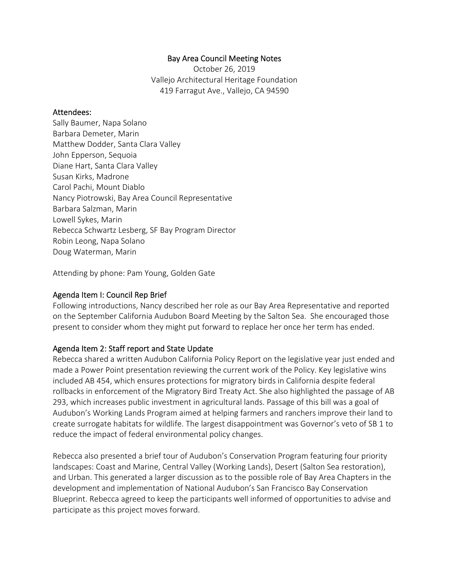#### Bay Area Council Meeting Notes

October 26, 2019 Vallejo Architectural Heritage Foundation 419 Farragut Ave., Vallejo, CA 94590

#### Attendees:

Sally Baumer, Napa Solano Barbara Demeter, Marin Matthew Dodder, Santa Clara Valley John Epperson, Sequoia Diane Hart, Santa Clara Valley Susan Kirks, Madrone Carol Pachi, Mount Diablo Nancy Piotrowski, Bay Area Council Representative Barbara Salzman, Marin Lowell Sykes, Marin Rebecca Schwartz Lesberg, SF Bay Program Director Robin Leong, Napa Solano Doug Waterman, Marin

Attending by phone: Pam Young, Golden Gate

#### Agenda Item I: Council Rep Brief

Following introductions, Nancy described her role as our Bay Area Representative and reported on the September California Audubon Board Meeting by the Salton Sea. She encouraged those present to consider whom they might put forward to replace her once her term has ended.

#### Agenda Item 2: Staff report and State Update

Rebecca shared a written Audubon California Policy Report on the legislative year just ended and made a Power Point presentation reviewing the current work of the Policy. Key legislative wins included AB 454, which ensures protections for migratory birds in California despite federal rollbacks in enforcement of the Migratory Bird Treaty Act. She also highlighted the passage of AB 293, which increases public investment in agricultural lands. Passage of this bill was a goal of Audubon's Working Lands Program aimed at helping farmers and ranchers improve their land to create surrogate habitats for wildlife. The largest disappointment was Governor's veto of SB 1 to reduce the impact of federal environmental policy changes.

Rebecca also presented a brief tour of Audubon's Conservation Program featuring four priority landscapes: Coast and Marine, Central Valley (Working Lands), Desert (Salton Sea restoration), and Urban. This generated a larger discussion as to the possible role of Bay Area Chapters in the development and implementation of National Audubon's San Francisco Bay Conservation Blueprint. Rebecca agreed to keep the participants well informed of opportunities to advise and participate as this project moves forward.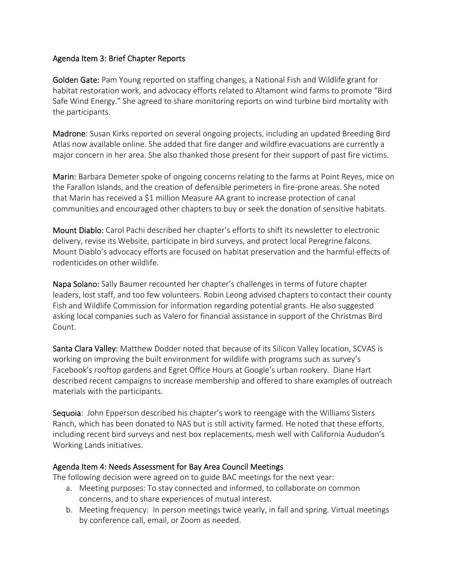## Agenda Item 3: Brief Chapter Reports

Golden Gate: Pam Young reported on staffing changes, a National Fish and Wildlife grant for habitat restoration work, and advocacy efforts related to Altamont wind farms to promote "Bird Safe Wind Energy." She agreed to share monitoring reports on wind turbine bird mortality with the participants.

Madrone: Susan Kirks reported on several ongoing projects, including an updated Breeding Bird Atlas now available online. She added that fire danger and wildfire evacuations are currently a major concern in her area. She also thanked those present for their support of past fire victims.

Marin: Barbara Demeter spoke of ongoing concerns relating to the farms at Point Reyes, mice on the Farallon Islands, and the creation of defensible perimeters in fire‐prone areas. She noted that Marin has received a \$1 million Measure AA grant to increase protection of canal communities and encouraged other chapters to buy or seek the donation of sensitive habitats.

Mount Diablo: Carol Pachi described her chapter's efforts to shift its newsletter to electronic delivery, revise its Website, participate in bird surveys, and protect local Peregrine falcons. Mount Diablo's advocacy efforts are focused on habitat preservation and the harmful effects of rodenticides on other wildlife.

Napa Solano: Sally Baumer recounted her chapter's challenges in terms of future chapter leaders, lost staff, and too few volunteers. Robin Leong advised chapters to contact their county Fish and Wildlife Commission for information regarding potential grants. He also suggested asking local companies such as Valero for financial assistance in support of the Christmas Bird Count.

Santa Clara Valley: Matthew Dodder noted that because of its Silicon Valley location, SCVAS is working on improving the built environment for wildlife with programs such as survey's Facebook's rooftop gardens and Egret Office Hours at Google's urban rookery. Diane Hart described recent campaigns to increase membership and offered to share examples of outreach materials with the participants.

Sequoia: John Epperson described his chapter's work to reengage with the Williams Sisters Ranch, which has been donated to NAS but is still activity farmed. He noted that these efforts, including recent bird surveys and nest box replacements, mesh well with California Aududon's Working Lands initiatives.

## Agenda Item 4: Needs Assessment for Bay Area Council Meetings

The following decision were agreed on to guide BAC meetings for the next year:

- a. Meeting purposes: To stay connected and informed, to collaborate on common concerns, and to share experiences of mutual interest.
- b. Meeting frequency: In person meetings twice yearly, in fall and spring. Virtual meetings by conference call, email, or Zoom as needed.